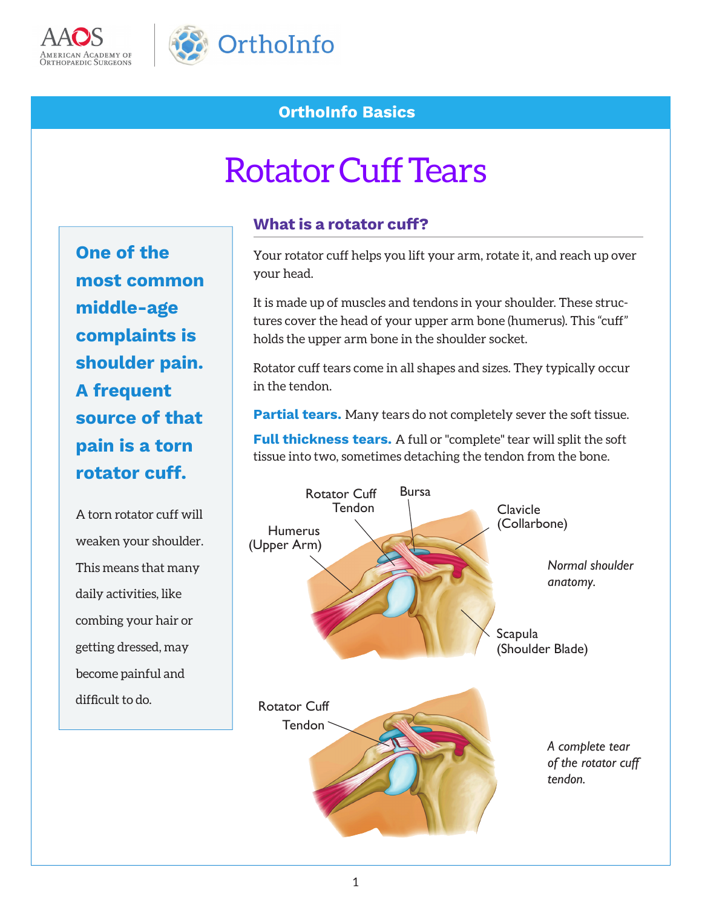



# **OrthoInfo Basics**

# Rotator Cuff Tears

**One of the most common middle-age complaints is shoulder pain. A frequent source of that pain is a torn rotator cuff.**

A torn rotator cuff will weaken your shoulder. This means that many daily activities, like combing your hair or getting dressed, may become painful and difficult to do.

#### **What is a rotator cuff?**

Your rotator cuff helps you lift your arm, rotate it, and reach up over your head.

It is made up of muscles and tendons in your shoulder. These structures cover the head of your upper arm bone (humerus). This "cuff" holds the upper arm bone in the shoulder socket.

Rotator cuff tears come in all shapes and sizes. They typically occur in the tendon.

**Partial tears.** Many tears do not completely sever the soft tissue.

**Full thickness tears.** A full or "complete" tear will split the soft tissue into two, sometimes detaching the tendon from the bone.

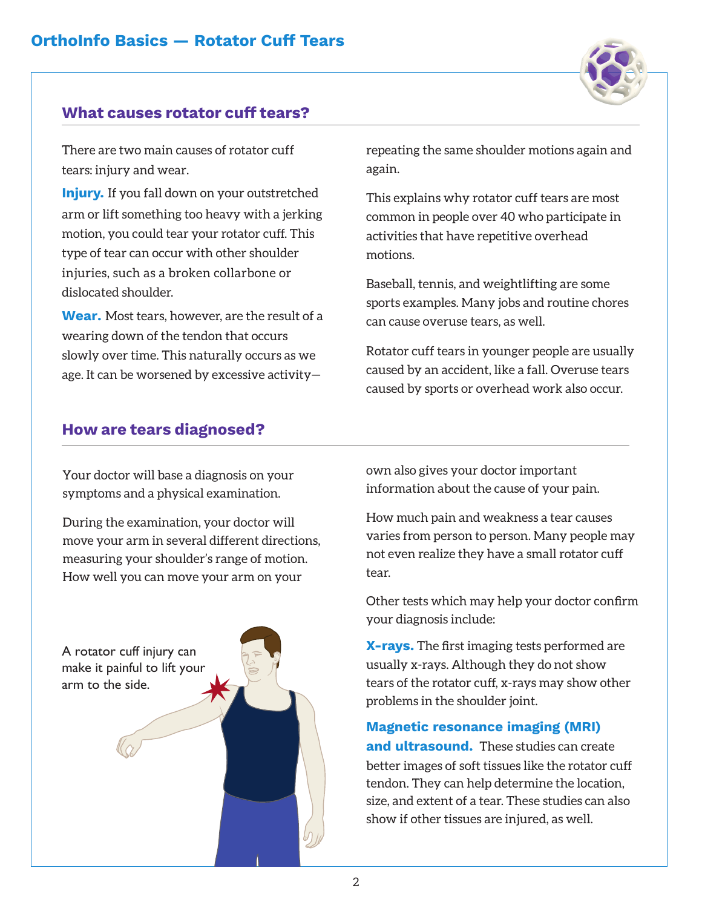#### **What causes rotator cuff tears?**

There are two main causes of rotator cuff tears: injury and wear.

**Injury.** If you fall down on your outstretched arm or lift something too heavy with a jerking motion, you could tear your rotator cuff. This type of tear can occur with other shoulder injuries, such as a broken collarbone or dislocated shoulder.

**Wear.** Most tears, however, are the result of a wearing down of the tendon that occurs slowly over time. This naturally occurs as we age. It can be worsened by excessive activity—

#### **How are tears diagnosed?**

repeating the same shoulder motions again and again.

This explains why rotator cuff tears are most common in people over 40 who participate in activities that have repetitive overhead motions.

Baseball, tennis, and weightlifting are some sports examples. Many jobs and routine chores can cause overuse tears, as well.

Rotator cuff tears in younger people are usually caused by an accident, like a fall. Overuse tears caused by sports or overhead work also occur.

Your doctor will base a diagnosis on your symptoms and a physical examination.

During the examination, your doctor will move your arm in several different directions, measuring your shoulder's range of motion. How well you can move your arm on your

A rotator cuff injury can make it painful to lift your arm to the side.

own also gives your doctor important information about the cause of your pain.

How much pain and weakness a tear causes varies from person to person. Many people may not even realize they have a small rotator cuff tear.

Other tests which may help your doctor confirm your diagnosis include:

**X-rays.** The first imaging tests performed are usually x-rays. Although they do not show tears of the rotator cuff, x-rays may show other problems in the shoulder joint.

**Magnetic resonance imaging (MRI)** 

**and ultrasound.** These studies can create better images of soft tissues like the rotator cuff tendon. They can help determine the location, size, and extent of a tear. These studies can also show if other tissues are injured, as well.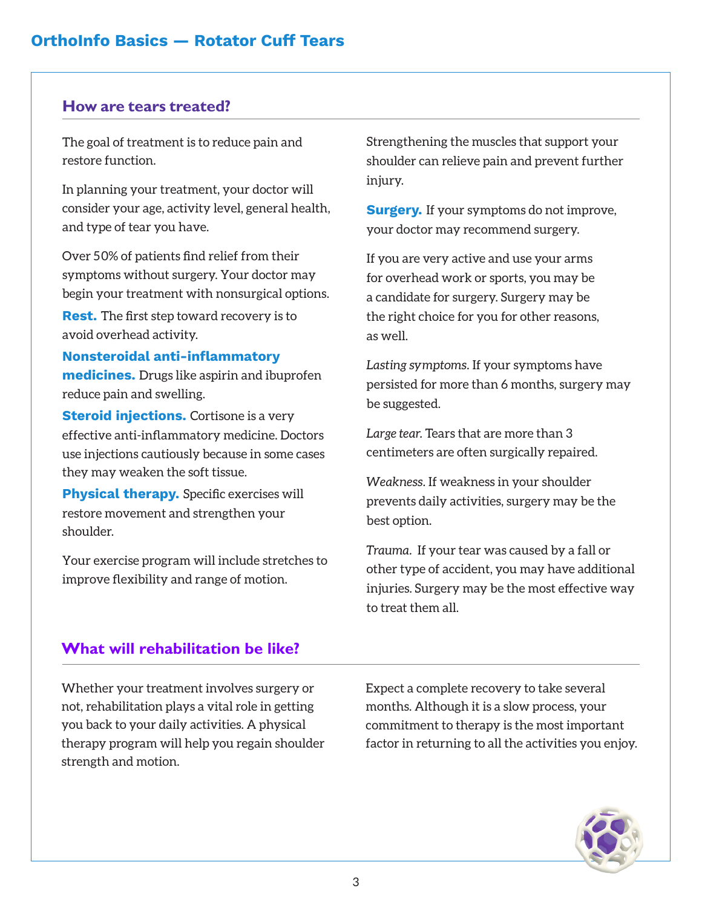#### **How are tears treated?**

The goal of treatment is to reduce pain and restore function.

In planning your treatment, your doctor will consider your age, activity level, general health, and type of tear you have.

Over 50% of patients find relief from their symptoms without surgery. Your doctor may begin your treatment with nonsurgical options. **Rest.** The first step toward recovery is to avoid overhead activity.

#### **Nonsteroidal anti-inflammatory medicines.** Drugs like aspirin and ibuprofen reduce pain and swelling.

**Steroid injections.** Cortisone is a very effective anti-inflammatory medicine. Doctors use injections cautiously because in some cases they may weaken the soft tissue.

**Physical therapy.** Specific exercises will restore movement and strengthen your shoulder.

Your exercise program will include stretches to improve flexibility and range of motion.

Strengthening the muscles that support your shoulder can relieve pain and prevent further injury.

**Surgery.** If your symptoms do not improve, your doctor may recommend surgery.

If you are very active and use your arms for overhead work or sports, you may be a candidate for surgery. Surgery may be the right choice for you for other reasons, as well.

*Lasting symptoms.* If your symptoms have persisted for more than 6 months, surgery may be suggested.

*Large tear.* Tears that are more than 3 centimeters are often surgically repaired.

*Weakness.* If weakness in your shoulder prevents daily activities, surgery may be the best option.

*Trauma.* If your tear was caused by a fall or other type of accident, you may have additional injuries. Surgery may be the most effective way to treat them all.

### **What will rehabilitation be like?**

Whether your treatment involves surgery or not, rehabilitation plays a vital role in getting you back to your daily activities. A physical therapy program will help you regain shoulder strength and motion.

Expect a complete recovery to take several months. Although it is a slow process, your commitment to therapy is the most important factor in returning to all the activities you enjoy.